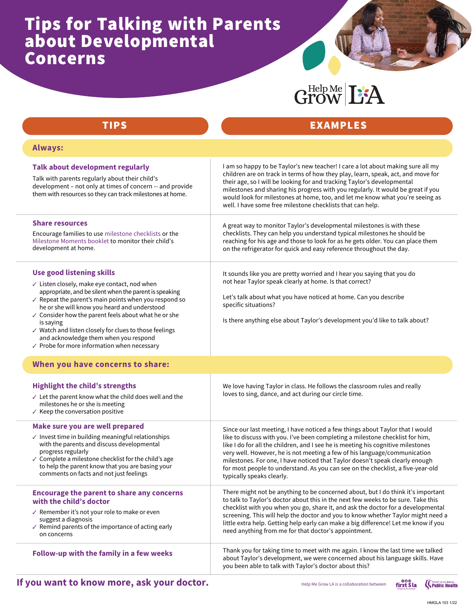## Tips for Talking with Parents about Developmental Concerns

# Grow L'A

#### TIPS Always: Use good listening skills ✓ Listen closely, make eye contact, nod when appropriate, and be silent when the parent is speaking  $\sqrt{ }$  Repeat the parent's main points when you respond so he or she will know you heard and understood ✓ Consider how the parent feels about what he or she is saying ✓ Watch and listen closely for clues to those feelings and acknowledge them when you respond ✓ Probe for more information when necessary I am so happy to be Taylor's new teacher! I care a lot about making sure all my children are on track in terms of how they play, learn, speak, act, and move for their age, so I will be looking for and tracking Taylor's developmental milestones and sharing his progress with you regularly. It would be great if you would look for milestones at home, too, and let me know what you're seeing as well. I have some free milestone checklists that can help. Encourage the parent to share any concerns with the child's doctor ✓ Remember it's not your role to make or even suggest a diagnosis  $\checkmark$  Remind parents of the importance of acting early on concerns A great way to monitor Taylor's developmental milestones is with these checklists. They can help you understand typical milestones he should be reaching for his age and those to look for as he gets older. You can place them on the refrigerator for quick and easy reference throughout the day. It sounds like you are pretty worried and I hear you saying that you do not hear Taylor speak clearly at home. Is that correct? Let's talk about what you have noticed at home. Can you describe specific situations? Is there anything else about Taylor's development you'd like to talk about? We love having Taylor in class. He follows the classroom rules and really loves to sing, dance, and act during our circle time. Since our last meeting, I have noticed a few things about Taylor that I would like to discuss with you. I've been completing a milestone checklist for him, like I do for all the children, and I see he is meeting his cognitive milestones very well. However, he is not meeting a few of his language/communication milestones. For one, I have noticed that Taylor doesn't speak clearly enough for most people to understand. As you can see on the checklist, a five-year-old typically speaks clearly. There might not be anything to be concerned about, but I do think it's important to talk to Taylor's doctor about this in the next few weeks to be sure. Take this checklist with you when you go, share it, and ask the doctor for a developmental screening. This will help the doctor and you to know whether Taylor might need a little extra help. Getting help early can make a big difference! Let me know if you need anything from me for that doctor's appointment. Thank you for taking time to meet with me again. I know the last time we talked about Taylor's development, we were concerned about his language skills. Have you been able to talk with Taylor's doctor about this? Talk about development regularly Talk with parents regularly about their child's development – not only at times of concern -- and provide them with resources so they can track milestones at home. Share resources Encourage families to use milestone checklists or the Milestone Moments booklet to monitor their child's development at home. Highlight the child's strengths ✓ Let the parent know what the child does well and the milestones he or she is meeting  $\checkmark$  Keep the conversation positive Make sure you are well prepared ✓ Invest time in building meaningful relationships with the parents and discuss developmental progress regularly ✓ Complete a milestone checklist for the child's age to help the parent know that you are basing your comments on facts and not just feelings Follow-up with the family in a few weeks EXAMPLES When you have concerns to share: